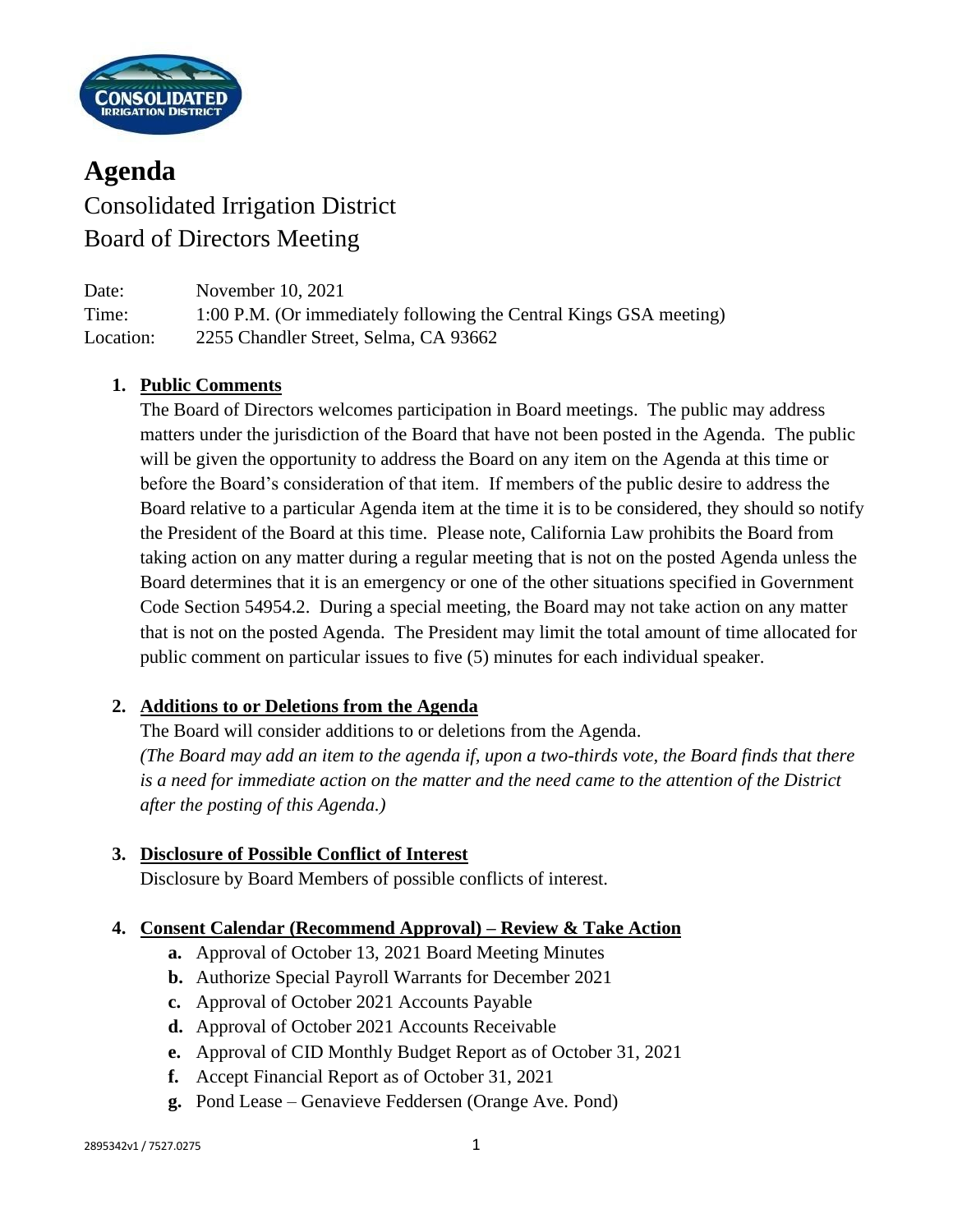

# **Agenda** Consolidated Irrigation District Board of Directors Meeting

| Date:     | November 10, 2021                                                  |
|-----------|--------------------------------------------------------------------|
| Time:     | 1:00 P.M. (Or immediately following the Central Kings GSA meeting) |
| Location: | 2255 Chandler Street, Selma, CA 93662                              |

## **1. Public Comments**

The Board of Directors welcomes participation in Board meetings. The public may address matters under the jurisdiction of the Board that have not been posted in the Agenda. The public will be given the opportunity to address the Board on any item on the Agenda at this time or before the Board's consideration of that item. If members of the public desire to address the Board relative to a particular Agenda item at the time it is to be considered, they should so notify the President of the Board at this time. Please note, California Law prohibits the Board from taking action on any matter during a regular meeting that is not on the posted Agenda unless the Board determines that it is an emergency or one of the other situations specified in Government Code Section 54954.2. During a special meeting, the Board may not take action on any matter that is not on the posted Agenda. The President may limit the total amount of time allocated for public comment on particular issues to five (5) minutes for each individual speaker.

## **2. Additions to or Deletions from the Agenda**

The Board will consider additions to or deletions from the Agenda. *(The Board may add an item to the agenda if, upon a two-thirds vote, the Board finds that there is a need for immediate action on the matter and the need came to the attention of the District after the posting of this Agenda.)*

## **3. Disclosure of Possible Conflict of Interest**

Disclosure by Board Members of possible conflicts of interest.

## **4. Consent Calendar (Recommend Approval) – Review & Take Action**

- **a.** Approval of October 13, 2021 Board Meeting Minutes
- **b.** Authorize Special Payroll Warrants for December 2021
- **c.** Approval of October 2021 Accounts Payable
- **d.** Approval of October 2021 Accounts Receivable
- **e.** Approval of CID Monthly Budget Report as of October 31, 2021
- **f.** Accept Financial Report as of October 31, 2021
- **g.** Pond Lease Genavieve Feddersen (Orange Ave. Pond)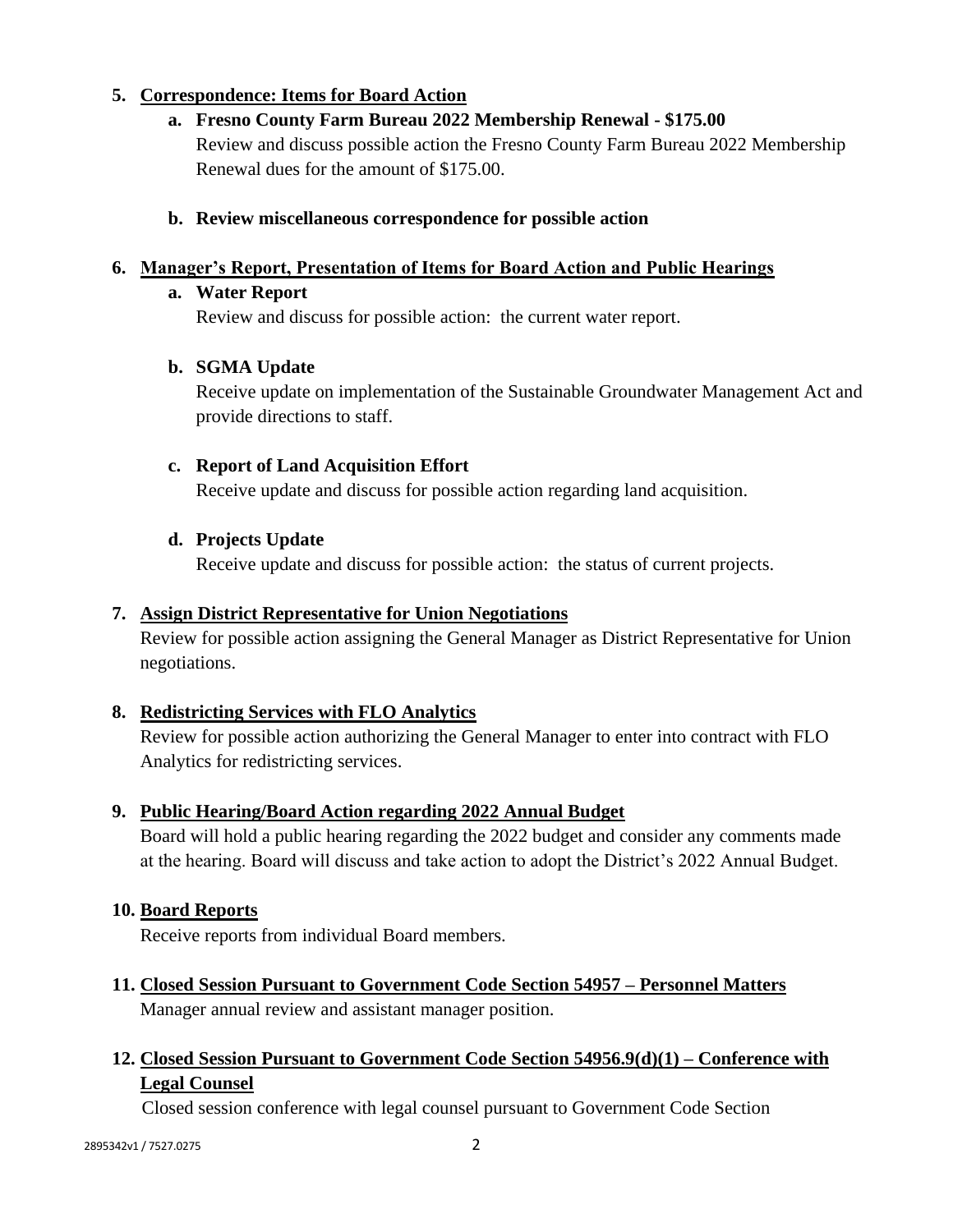# **5. Correspondence: Items for Board Action**

**a. Fresno County Farm Bureau 2022 Membership Renewal - \$175.00**

Review and discuss possible action the Fresno County Farm Bureau 2022 Membership Renewal dues for the amount of \$175.00.

## **b. Review miscellaneous correspondence for possible action**

# **6. Manager's Report, Presentation of Items for Board Action and Public Hearings**

# **a. Water Report**

Review and discuss for possible action: the current water report.

# **b. SGMA Update**

Receive update on implementation of the Sustainable Groundwater Management Act and provide directions to staff.

# **c. Report of Land Acquisition Effort**

Receive update and discuss for possible action regarding land acquisition.

# **d. Projects Update**

Receive update and discuss for possible action: the status of current projects.

## **7. Assign District Representative for Union Negotiations**

Review for possible action assigning the General Manager as District Representative for Union negotiations.

# **8. Redistricting Services with FLO Analytics**

Review for possible action authorizing the General Manager to enter into contract with FLO Analytics for redistricting services.

## **9. Public Hearing/Board Action regarding 2022 Annual Budget**

Board will hold a public hearing regarding the 2022 budget and consider any comments made at the hearing. Board will discuss and take action to adopt the District's 2022 Annual Budget.

# **10. Board Reports**

Receive reports from individual Board members.

**11. Closed Session Pursuant to Government Code Section 54957 – Personnel Matters** Manager annual review and assistant manager position.

# **12. Closed Session Pursuant to Government Code Section 54956.9(d)(1) – Conference with Legal Counsel**

Closed session conference with legal counsel pursuant to Government Code Section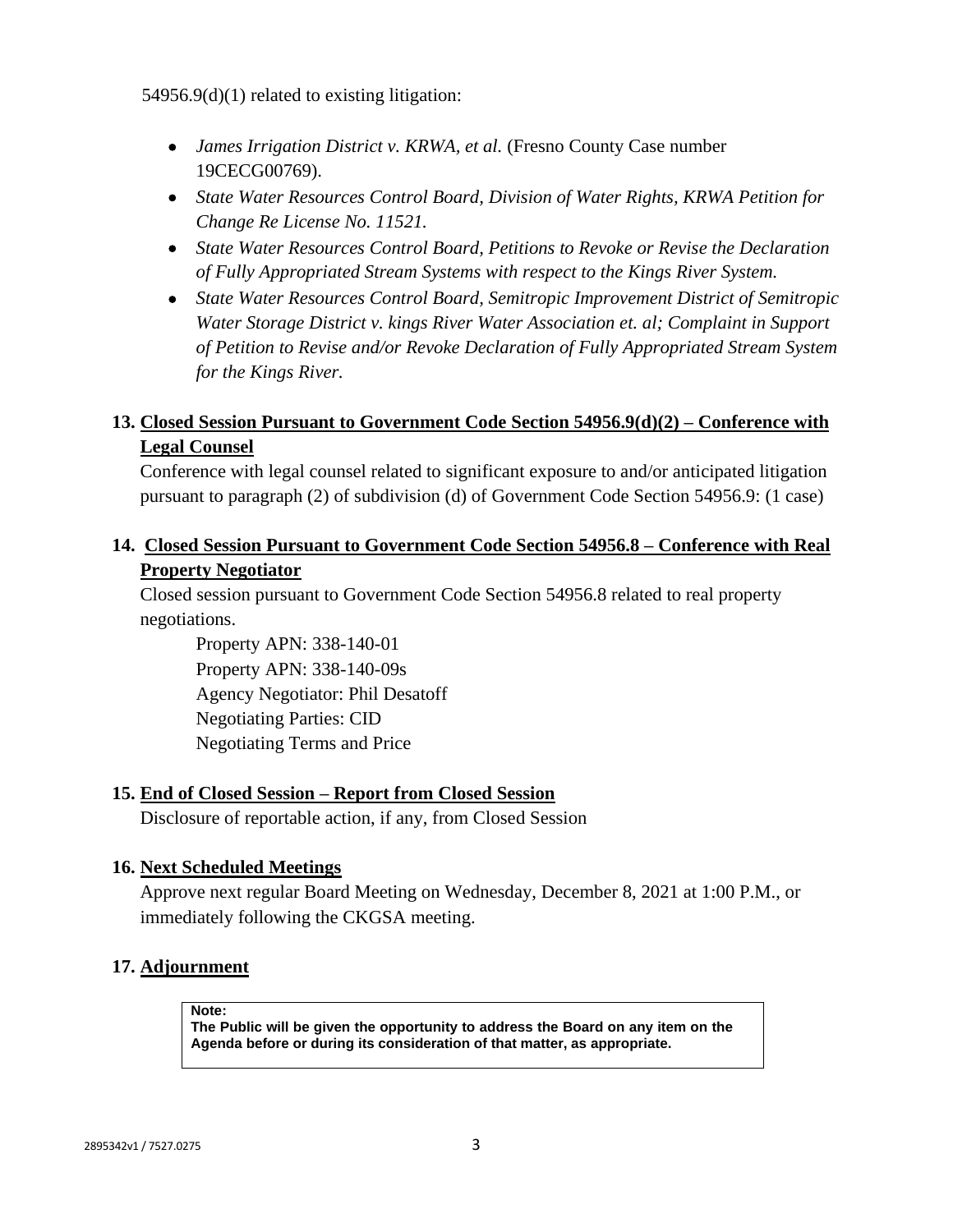54956.9(d)(1) related to existing litigation:

- *James Irrigation District v. KRWA, et al.* (Fresno County Case number 19CECG00769).
- *State Water Resources Control Board, Division of Water Rights, KRWA Petition for Change Re License No. 11521.*
- *State Water Resources Control Board, Petitions to Revoke or Revise the Declaration of Fully Appropriated Stream Systems with respect to the Kings River System.*
- *State Water Resources Control Board, Semitropic Improvement District of Semitropic Water Storage District v. kings River Water Association et. al; Complaint in Support of Petition to Revise and/or Revoke Declaration of Fully Appropriated Stream System for the Kings River.*

# **13. Closed Session Pursuant to Government Code Section 54956.9(d)(2) – Conference with Legal Counsel**

Conference with legal counsel related to significant exposure to and/or anticipated litigation pursuant to paragraph (2) of subdivision (d) of Government Code Section 54956.9: (1 case)

## **14. Closed Session Pursuant to Government Code Section 54956.8 – Conference with Real Property Negotiator**

Closed session pursuant to Government Code Section 54956.8 related to real property negotiations.

Property APN: 338-140-01 Property APN: 338-140-09s Agency Negotiator: Phil Desatoff Negotiating Parties: CID Negotiating Terms and Price

## **15. End of Closed Session – Report from Closed Session**

Disclosure of reportable action, if any, from Closed Session

## **16. Next Scheduled Meetings**

Approve next regular Board Meeting on Wednesday, December 8, 2021 at 1:00 P.M., or immediately following the CKGSA meeting.

## **17. Adjournment**

**Note:**

**The Public will be given the opportunity to address the Board on any item on the Agenda before or during its consideration of that matter, as appropriate.**